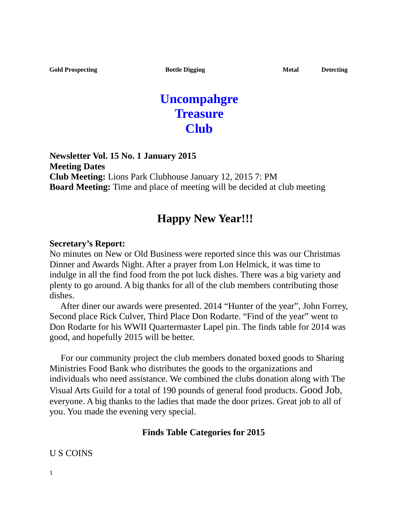# **Uncompahgre Treasure Club**

**Newsletter Vol. 15 No. 1 January 2015 Meeting Dates Club Meeting:** Lions Park Clubhouse January 12, 2015 7: PM **Board Meeting:** Time and place of meeting will be decided at club meeting

## **Happy New Year!!!**

#### **Secretary's Report:**

No minutes on New or Old Business were reported since this was our Christmas Dinner and Awards Night. After a prayer from Lon Helmick, it was time to indulge in all the find food from the pot luck dishes. There was a big variety and plenty to go around. A big thanks for all of the club members contributing those dishes.

 After diner our awards were presented. 2014 "Hunter of the year", John Forrey, Second place Rick Culver, Third Place Don Rodarte. "Find of the year" went to Don Rodarte for his WWII Quartermaster Lapel pin. The finds table for 2014 was good, and hopefully 2015 will be better.

 For our community project the club members donated boxed goods to Sharing Ministries Food Bank who distributes the goods to the organizations and individuals who need assistance. We combined the clubs donation along with The Visual Arts Guild for a total of 190 pounds of general food products. Good Job, everyone. A big thanks to the ladies that made the door prizes. Great job to all of you. You made the evening very special.

#### **Finds Table Categories for 2015**

#### U S COINS